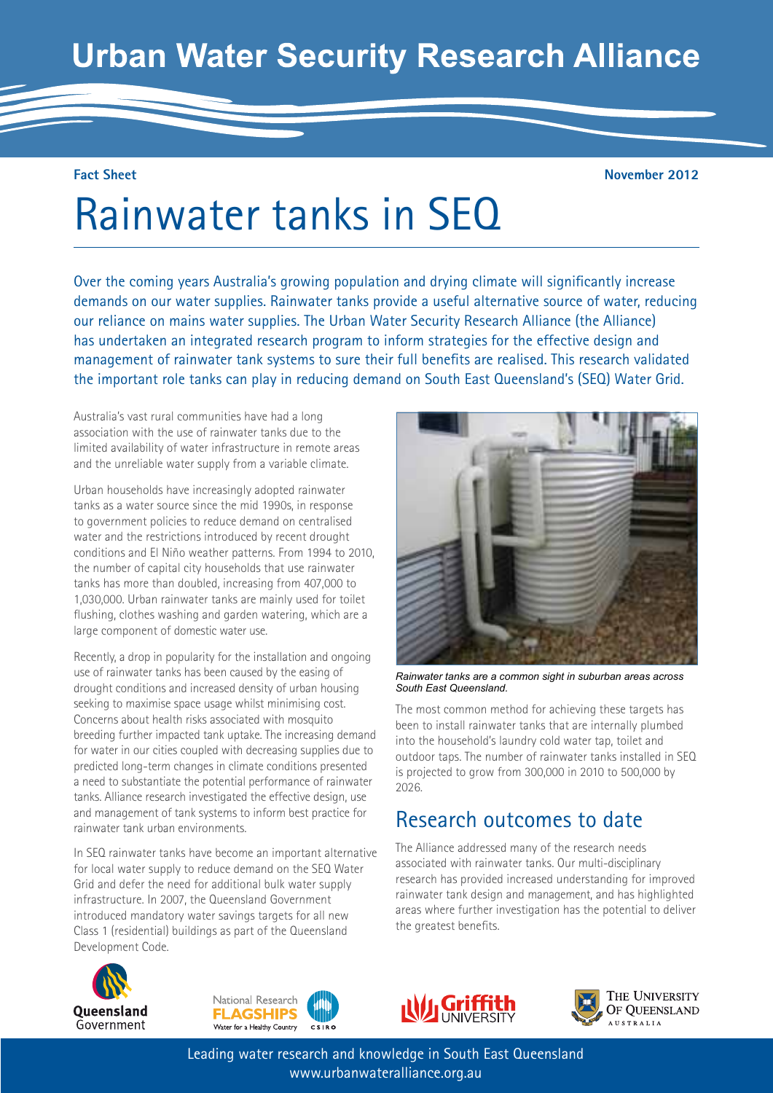## **Urban Water Security Research Alliance**

#### **Fact Sheet**

**November 2012**

# Rainwater tanks in SEQ

Over the coming years Australia's growing population and drying climate will significantly increase demands on our water supplies. Rainwater tanks provide a useful alternative source of water, reducing our reliance on mains water supplies. The Urban Water Security Research Alliance (the Alliance) has undertaken an integrated research program to inform strategies for the effective design and management of rainwater tank systems to sure their full benefits are realised. This research validated the important role tanks can play in reducing demand on South East Queensland's (SEQ) Water Grid.

Australia's vast rural communities have had a long association with the use of rainwater tanks due to the limited availability of water infrastructure in remote areas and the unreliable water supply from a variable climate.

Urban households have increasingly adopted rainwater tanks as a water source since the mid 1990s, in response to government policies to reduce demand on centralised water and the restrictions introduced by recent drought conditions and El Niño weather patterns. From 1994 to 2010, the number of capital city households that use rainwater tanks has more than doubled, increasing from 407,000 to 1,030,000. Urban rainwater tanks are mainly used for toilet flushing, clothes washing and garden watering, which are a large component of domestic water use.

Recently, a drop in popularity for the installation and ongoing use of rainwater tanks has been caused by the easing of drought conditions and increased density of urban housing seeking to maximise space usage whilst minimising cost. Concerns about health risks associated with mosquito breeding further impacted tank uptake. The increasing demand for water in our cities coupled with decreasing supplies due to predicted long-term changes in climate conditions presented a need to substantiate the potential performance of rainwater tanks. Alliance research investigated the effective design, use and management of tank systems to inform best practice for rainwater tank urban environments.

In SEQ rainwater tanks have become an important alternative for local water supply to reduce demand on the SEQ Water Grid and defer the need for additional bulk water supply infrastructure. In 2007, the Queensland Government introduced mandatory water savings targets for all new Class 1 (residential) buildings as part of the Queensland Development Code.







The most common method for achieving these targets has been to install rainwater tanks that are internally plumbed into the household's laundry cold water tap, toilet and outdoor taps. The number of rainwater tanks installed in SEQ is projected to grow from 300,000 in 2010 to 500,000 by

*Rainwater tanks are a common sight in suburban areas across* 

Research outcomes to date

The Alliance addressed many of the research needs associated with rainwater tanks. Our multi-disciplinary





Leading water research and knowledge in South East Queensland www.urbanwateralliance.org.au

2026.

*South East Queensland.*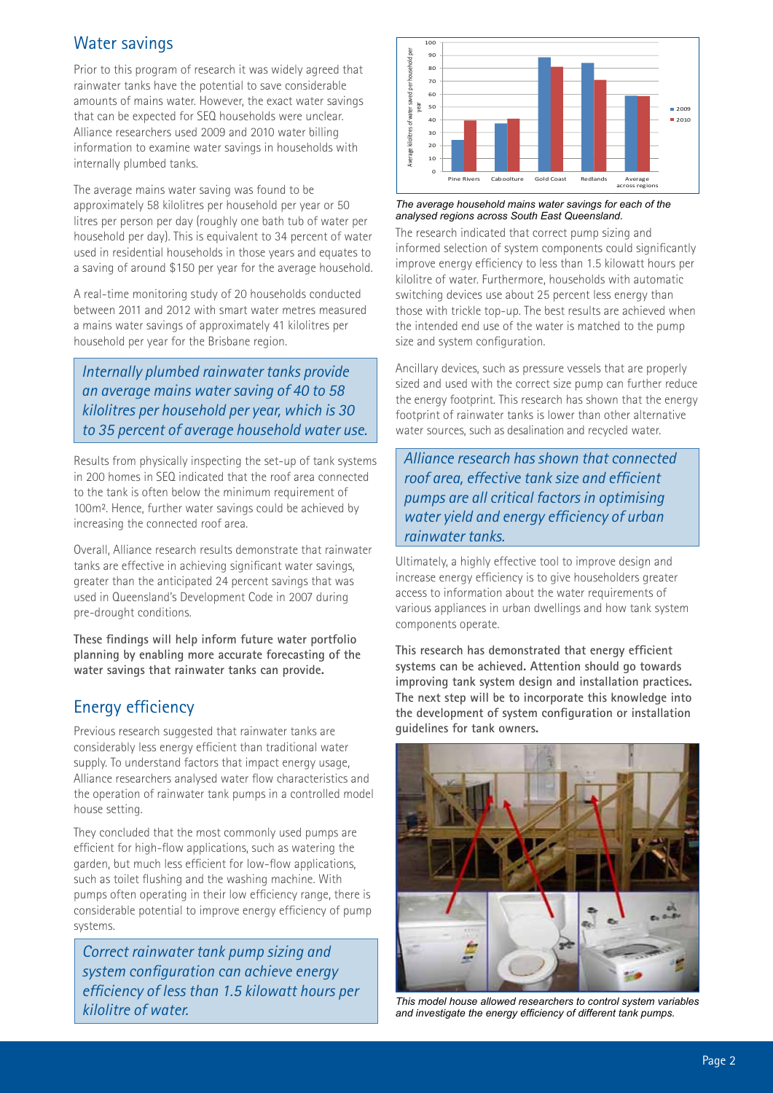#### Water savings

Prior to this program of research it was widely agreed that rainwater tanks have the potential to save considerable amounts of mains water. However, the exact water savings that can be expected for SEQ households were unclear. Alliance researchers used 2009 and 2010 water billing information to examine water savings in households with internally plumbed tanks.

The average mains water saving was found to be approximately 58 kilolitres per household per year or 50 litres per person per day (roughly one bath tub of water per household per day). This is equivalent to 34 percent of water used in residential households in those years and equates to a saving of around \$150 per year for the average household.

A real-time monitoring study of 20 households conducted between 2011 and 2012 with smart water metres measured a mains water savings of approximately 41 kilolitres per household per year for the Brisbane region.

*Internally plumbed rainwater tanks provide an average mains water saving of 40 to 58 kilolitres per household per year, which is 30 to 35 percent of average household water use.* 

Results from physically inspecting the set-up of tank systems in 200 homes in SEQ indicated that the roof area connected to the tank is often below the minimum requirement of 100m². Hence, further water savings could be achieved by increasing the connected roof area.

Overall, Alliance research results demonstrate that rainwater tanks are effective in achieving significant water savings, greater than the anticipated 24 percent savings that was used in Queensland's Development Code in 2007 during pre-drought conditions.

**These findings will help inform future water portfolio planning by enabling more accurate forecasting of the water savings that rainwater tanks can provide.**

#### Energy efficiency

Previous research suggested that rainwater tanks are considerably less energy efficient than traditional water supply. To understand factors that impact energy usage, Alliance researchers analysed water flow characteristics and the operation of rainwater tank pumps in a controlled model house setting.

They concluded that the most commonly used pumps are efficient for high-flow applications, such as watering the garden, but much less efficient for low-flow applications, such as toilet flushing and the washing machine. With pumps often operating in their low efficiency range, there is considerable potential to improve energy efficiency of pump systems.

*Correct rainwater tank pump sizing and system configuration can achieve energy efficiency of less than 1.5 kilowatt hours per* 



*The average household mains water savings for each of the analysed regions across South East Queensland.*

The research indicated that correct pump sizing and informed selection of system components could significantly improve energy efficiency to less than 1.5 kilowatt hours per kilolitre of water. Furthermore, households with automatic switching devices use about 25 percent less energy than those with trickle top-up. The best results are achieved when the intended end use of the water is matched to the pump size and system configuration.

Ancillary devices, such as pressure vessels that are properly sized and used with the correct size pump can further reduce the energy footprint. This research has shown that the energy footprint of rainwater tanks is lower than other alternative water sources, such as desalination and recycled water.

*Alliance research has shown that connected roof area, effective tank size and efficient pumps are all critical factors in optimising water yield and energy efficiency of urban rainwater tanks.* 

Ultimately, a highly effective tool to improve design and increase energy efficiency is to give householders greater access to information about the water requirements of various appliances in urban dwellings and how tank system components operate.

**This research has demonstrated that energy efficient systems can be achieved. Attention should go towards improving tank system design and installation practices. The next step will be to incorporate this knowledge into the development of system configuration or installation guidelines for tank owners.**



*kilolitre of water. This model house allowed researchers to control system variables and investigate the energy efficiency of different tank pumps.*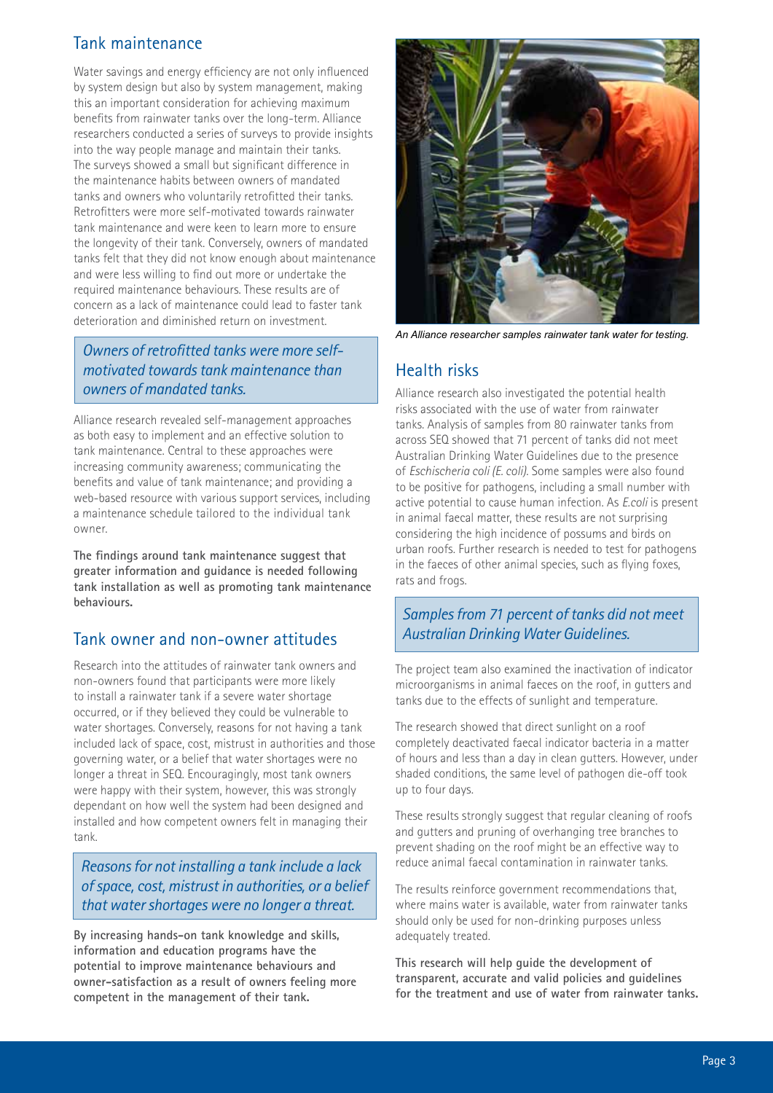#### Tank maintenance

Water savings and energy efficiency are not only influenced by system design but also by system management, making this an important consideration for achieving maximum benefits from rainwater tanks over the long-term. Alliance researchers conducted a series of surveys to provide insights into the way people manage and maintain their tanks. The surveys showed a small but significant difference in the maintenance habits between owners of mandated tanks and owners who voluntarily retrofitted their tanks. Retrofitters were more self-motivated towards rainwater tank maintenance and were keen to learn more to ensure the longevity of their tank. Conversely, owners of mandated tanks felt that they did not know enough about maintenance and were less willing to find out more or undertake the required maintenance behaviours. These results are of concern as a lack of maintenance could lead to faster tank deterioration and diminished return on investment.

#### *Owners of retrofitted tanks were more selfmotivated towards tank maintenance than owners of mandated tanks.*

Alliance research revealed self-management approaches as both easy to implement and an effective solution to tank maintenance. Central to these approaches were increasing community awareness; communicating the benefits and value of tank maintenance; and providing a web-based resource with various support services, including a maintenance schedule tailored to the individual tank owner.

**The findings around tank maintenance suggest that greater information and guidance is needed following tank installation as well as promoting tank maintenance behaviours.**

#### Tank owner and non-owner attitudes

Research into the attitudes of rainwater tank owners and non-owners found that participants were more likely to install a rainwater tank if a severe water shortage occurred, or if they believed they could be vulnerable to water shortages. Conversely, reasons for not having a tank included lack of space, cost, mistrust in authorities and those governing water, or a belief that water shortages were no longer a threat in SEQ. Encouragingly, most tank owners were happy with their system, however, this was strongly dependant on how well the system had been designed and installed and how competent owners felt in managing their tank.

*Reasons for not installing a tank include a lack of space, cost, mistrust in authorities, or a belief that water shortages were no longer a threat.* 

**By increasing hands-on tank knowledge and skills, information and education programs have the potential to improve maintenance behaviours and owner-satisfaction as a result of owners feeling more competent in the management of their tank.**



*An Alliance researcher samples rainwater tank water for testing.*

#### Health risks

Alliance research also investigated the potential health risks associated with the use of water from rainwater tanks. Analysis of samples from 80 rainwater tanks from across SEQ showed that 71 percent of tanks did not meet Australian Drinking Water Guidelines due to the presence of *Eschischeria coli (E. coli)*. Some samples were also found to be positive for pathogens, including a small number with active potential to cause human infection. As *E.coli* is present in animal faecal matter, these results are not surprising considering the high incidence of possums and birds on urban roofs. Further research is needed to test for pathogens in the faeces of other animal species, such as flying foxes, rats and frogs.

#### *Samples from 71 percent of tanks did not meet Australian Drinking Water Guidelines.*

The project team also examined the inactivation of indicator microorganisms in animal faeces on the roof, in gutters and tanks due to the effects of sunlight and temperature.

The research showed that direct sunlight on a roof completely deactivated faecal indicator bacteria in a matter of hours and less than a day in clean gutters. However, under shaded conditions, the same level of pathogen die-off took up to four days.

These results strongly suggest that regular cleaning of roofs and gutters and pruning of overhanging tree branches to prevent shading on the roof might be an effective way to reduce animal faecal contamination in rainwater tanks.

The results reinforce government recommendations that, where mains water is available, water from rainwater tanks should only be used for non-drinking purposes unless adequately treated.

**This research will help guide the development of transparent, accurate and valid policies and guidelines for the treatment and use of water from rainwater tanks.**